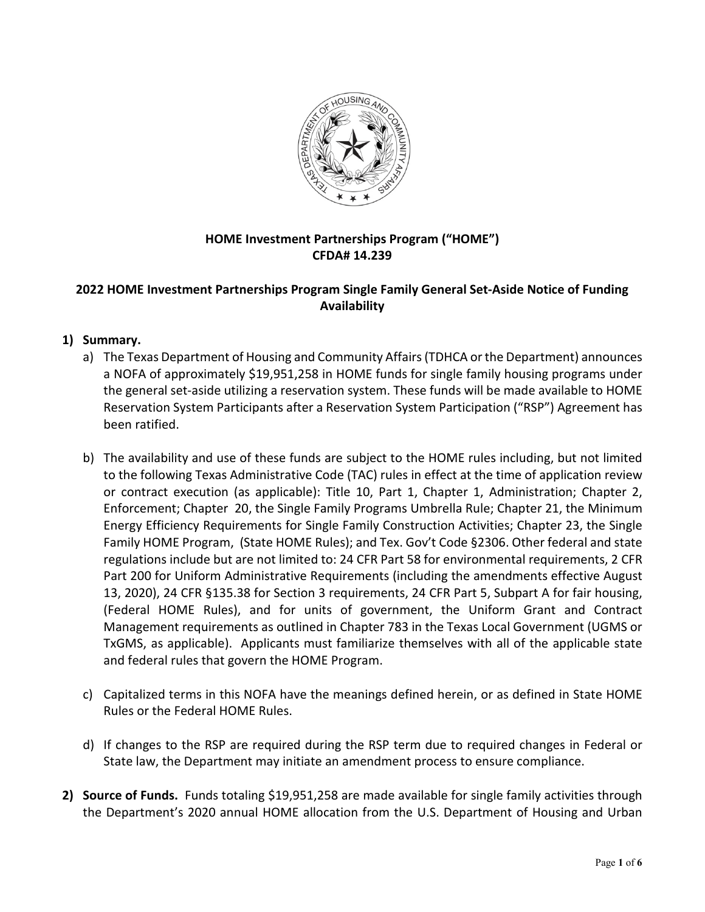

# **HOME Investment Partnerships Program ("HOME") CFDA# 14.239**

# **2022 HOME Investment Partnerships Program Single Family General Set-Aside Notice of Funding Availability**

## **1) Summary.**

- a) The Texas Department of Housing and Community Affairs (TDHCA or the Department) announces a NOFA of approximately \$19,951,258 in HOME funds for single family housing programs under the general set-aside utilizing a reservation system. These funds will be made available to HOME Reservation System Participants after a Reservation System Participation ("RSP") Agreement has been ratified.
- b) The availability and use of these funds are subject to the HOME rules including, but not limited to the following Texas Administrative Code (TAC) rules in effect at the time of application review or contract execution (as applicable): Title 10, Part 1, Chapter 1, Administration; Chapter 2, Enforcement; Chapter 20, the Single Family Programs Umbrella Rule; Chapter 21, the Minimum Energy Efficiency Requirements for Single Family Construction Activities; Chapter 23, the Single Family HOME Program, (State HOME Rules); and Tex. Gov't Code §2306. Other federal and state regulations include but are not limited to: 24 CFR Part 58 for environmental requirements, 2 CFR Part 200 for Uniform Administrative Requirements (including the amendments effective August 13, 2020), 24 CFR §135.38 for Section 3 requirements, 24 CFR Part 5, Subpart A for fair housing, (Federal HOME Rules), and for units of government, the Uniform Grant and Contract Management requirements as outlined in Chapter 783 in the Texas Local Government (UGMS or TxGMS, as applicable). Applicants must familiarize themselves with all of the applicable state and federal rules that govern the HOME Program.
- c) Capitalized terms in this NOFA have the meanings defined herein, or as defined in State HOME Rules or the Federal HOME Rules.
- d) If changes to the RSP are required during the RSP term due to required changes in Federal or State law, the Department may initiate an amendment process to ensure compliance.
- **2) Source of Funds.** Funds totaling \$19,951,258 are made available for single family activities through the Department's 2020 annual HOME allocation from the U.S. Department of Housing and Urban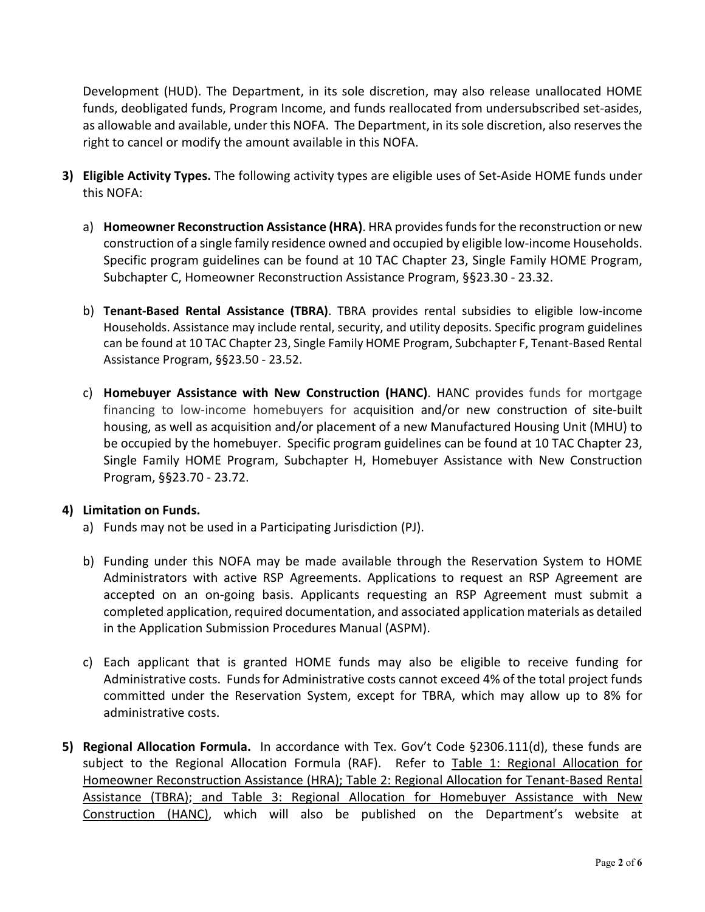Development (HUD). The Department, in its sole discretion, may also release unallocated HOME funds, deobligated funds, Program Income, and funds reallocated from undersubscribed set-asides, as allowable and available, under this NOFA. The Department, in its sole discretion, also reserves the right to cancel or modify the amount available in this NOFA.

- **3) Eligible Activity Types.** The following activity types are eligible uses of Set-Aside HOME funds under this NOFA:
	- a) **Homeowner Reconstruction Assistance (HRA)**. HRA provides funds for the reconstruction or new construction of a single family residence owned and occupied by eligible low-income Households. Specific program guidelines can be found at 10 TAC Chapter 23, Single Family HOME Program, Subchapter C, Homeowner Reconstruction Assistance Program, §§23.30 - 23.32.
	- b) **Tenant-Based Rental Assistance (TBRA)**. TBRA provides rental subsidies to eligible low-income Households. Assistance may include rental, security, and utility deposits. Specific program guidelines can be found at 10 TAC Chapter 23, Single Family HOME Program, Subchapter F, Tenant-Based Rental Assistance Program, §§23.50 - 23.52.
	- c) **Homebuyer Assistance with New Construction (HANC)**. HANC provides funds for mortgage financing to low-income homebuyers for acquisition and/or new construction of site-built housing, as well as acquisition and/or placement of a new Manufactured Housing Unit (MHU) to be occupied by the homebuyer. Specific program guidelines can be found at 10 TAC Chapter 23, Single Family HOME Program, Subchapter H, Homebuyer Assistance with New Construction Program, §§23.70 - 23.72.

#### **4) Limitation on Funds.**

- a) Funds may not be used in a Participating Jurisdiction (PJ).
- b) Funding under this NOFA may be made available through the Reservation System to HOME Administrators with active RSP Agreements. Applications to request an RSP Agreement are accepted on an on-going basis. Applicants requesting an RSP Agreement must submit a completed application, required documentation, and associated application materials as detailed in the Application Submission Procedures Manual (ASPM).
- c) Each applicant that is granted HOME funds may also be eligible to receive funding for Administrative costs. Funds for Administrative costs cannot exceed 4% of the total project funds committed under the Reservation System, except for TBRA, which may allow up to 8% for administrative costs.
- **5) Regional Allocation Formula.** In accordance with Tex. Gov't Code §2306.111(d), these funds are subject to the Regional Allocation Formula (RAF). Refer to Table 1: Regional Allocation for Homeowner Reconstruction Assistance (HRA); Table 2: Regional Allocation for Tenant-Based Rental Assistance (TBRA); and Table 3: Regional Allocation for Homebuyer Assistance with New Construction (HANC), which will also be published on the Department's website at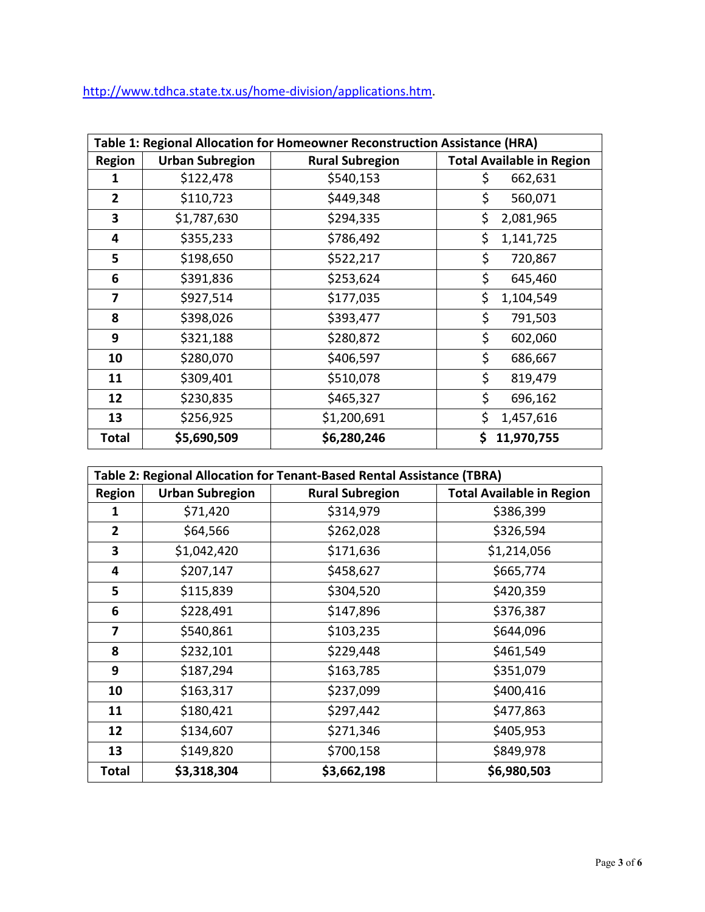[http://www.tdhca.state.tx.us/home-division/applications.htm.](http://www.tdhca.state.tx.us/home-division/applications.htm)

| Table 1: Regional Allocation for Homeowner Reconstruction Assistance (HRA) |                        |                        |                                  |  |  |
|----------------------------------------------------------------------------|------------------------|------------------------|----------------------------------|--|--|
| <b>Region</b>                                                              | <b>Urban Subregion</b> | <b>Rural Subregion</b> | <b>Total Available in Region</b> |  |  |
| 1                                                                          | \$122,478              | \$540,153              | \$<br>662,631                    |  |  |
| $\mathbf{2}$                                                               | \$110,723              | \$449,348              | \$<br>560,071                    |  |  |
| 3                                                                          | \$1,787,630            | \$294,335              | \$<br>2,081,965                  |  |  |
| 4                                                                          | \$355,233              | \$786,492              | \$<br>1,141,725                  |  |  |
| 5                                                                          | \$198,650              | \$522,217              | \$<br>720,867                    |  |  |
| 6                                                                          | \$391,836              | \$253,624              | \$<br>645,460                    |  |  |
| 7                                                                          | \$927,514              | \$177,035              | \$<br>1,104,549                  |  |  |
| 8                                                                          | \$398,026              | \$393,477              | \$<br>791,503                    |  |  |
| 9                                                                          | \$321,188              | \$280,872              | \$<br>602,060                    |  |  |
| 10                                                                         | \$280,070              | \$406,597              | \$<br>686,667                    |  |  |
| 11                                                                         | \$309,401              | \$510,078              | \$<br>819,479                    |  |  |
| 12                                                                         | \$230,835              | \$465,327              | \$<br>696,162                    |  |  |
| 13                                                                         | \$256,925              | \$1,200,691            | \$<br>1,457,616                  |  |  |
| Total                                                                      | \$5,690,509            | \$6,280,246            | 11,970,755<br>\$                 |  |  |

| Table 2: Regional Allocation for Tenant-Based Rental Assistance (TBRA) |                        |                        |                                  |  |  |  |
|------------------------------------------------------------------------|------------------------|------------------------|----------------------------------|--|--|--|
| <b>Region</b>                                                          | <b>Urban Subregion</b> | <b>Rural Subregion</b> | <b>Total Available in Region</b> |  |  |  |
| 1                                                                      | \$71,420               | \$314,979              | \$386,399                        |  |  |  |
| $\mathbf{2}$                                                           | \$64,566               | \$262,028              | \$326,594                        |  |  |  |
| 3                                                                      | \$1,042,420            | \$171,636              | \$1,214,056                      |  |  |  |
| 4                                                                      | \$207,147              | \$458,627              | \$665,774                        |  |  |  |
| 5                                                                      | \$115,839              | \$304,520              | \$420,359                        |  |  |  |
| 6                                                                      | \$228,491              | \$147,896              | \$376,387                        |  |  |  |
| 7                                                                      | \$540,861              | \$103,235              | \$644,096                        |  |  |  |
| 8                                                                      | \$232,101              | \$229,448              | \$461,549                        |  |  |  |
| 9                                                                      | \$187,294              | \$163,785              | \$351,079                        |  |  |  |
| 10                                                                     | \$163,317              | \$237,099              | \$400,416                        |  |  |  |
| 11                                                                     | \$180,421              | \$297,442              | \$477,863                        |  |  |  |
| 12                                                                     | \$134,607              | \$271,346              | \$405,953                        |  |  |  |
| 13                                                                     | \$149,820              | \$700,158              | \$849,978                        |  |  |  |
| <b>Total</b>                                                           | \$3,318,304            | \$3,662,198            | \$6,980,503                      |  |  |  |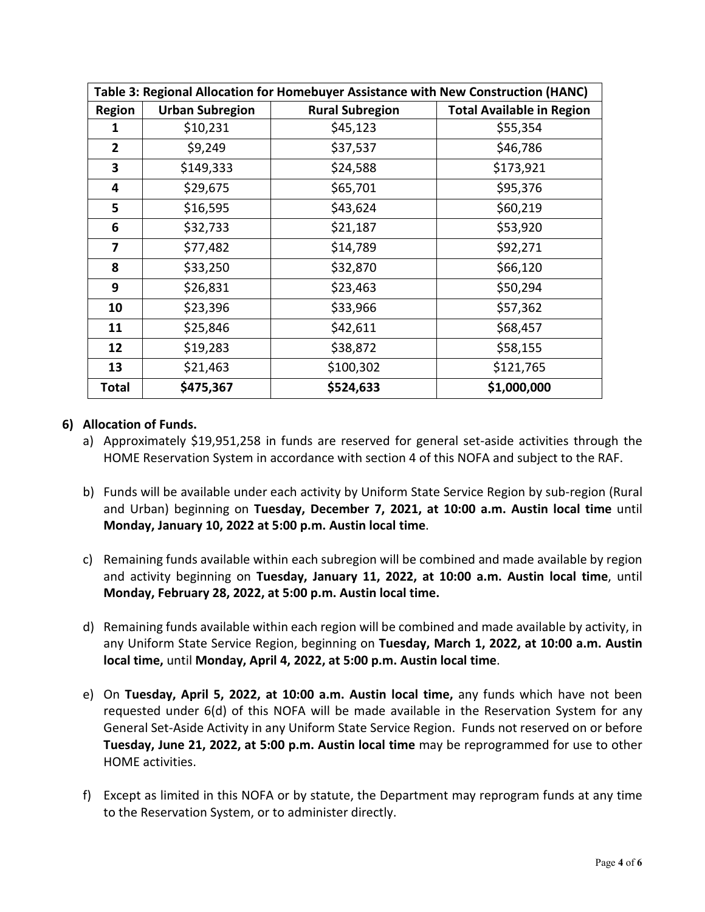| Table 3: Regional Allocation for Homebuyer Assistance with New Construction (HANC) |                        |                        |                                  |  |  |  |
|------------------------------------------------------------------------------------|------------------------|------------------------|----------------------------------|--|--|--|
| <b>Region</b>                                                                      | <b>Urban Subregion</b> | <b>Rural Subregion</b> | <b>Total Available in Region</b> |  |  |  |
| 1                                                                                  | \$10,231               | \$45,123               | \$55,354                         |  |  |  |
| 2                                                                                  | \$9,249                | \$37,537               | \$46,786                         |  |  |  |
| 3                                                                                  | \$149,333              | \$24,588               | \$173,921                        |  |  |  |
| 4                                                                                  | \$29,675               | \$65,701               | \$95,376                         |  |  |  |
| 5                                                                                  | \$16,595               | \$43,624               | \$60,219                         |  |  |  |
| 6                                                                                  | \$32,733               | \$21,187               | \$53,920                         |  |  |  |
| 7                                                                                  | \$77,482               | \$14,789               | \$92,271                         |  |  |  |
| 8                                                                                  | \$33,250               | \$32,870               | \$66,120                         |  |  |  |
| 9                                                                                  | \$26,831               | \$23,463               | \$50,294                         |  |  |  |
| 10                                                                                 | \$23,396               | \$33,966               | \$57,362                         |  |  |  |
| 11                                                                                 | \$25,846               | \$42,611               | \$68,457                         |  |  |  |
| 12                                                                                 | \$19,283               | \$38,872               | \$58,155                         |  |  |  |
| 13                                                                                 | \$21,463               | \$100,302              | \$121,765                        |  |  |  |
| <b>Total</b>                                                                       | \$475,367              | \$524,633              | \$1,000,000                      |  |  |  |

### **6) Allocation of Funds.**

- a) Approximately \$19,951,258 in funds are reserved for general set-aside activities through the HOME Reservation System in accordance with section 4 of this NOFA and subject to the RAF.
- b) Funds will be available under each activity by Uniform State Service Region by sub-region (Rural and Urban) beginning on **Tuesday, December 7, 2021, at 10:00 a.m. Austin local time** until **Monday, January 10, 2022 at 5:00 p.m. Austin local time**.
- c) Remaining funds available within each subregion will be combined and made available by region and activity beginning on **Tuesday, January 11, 2022, at 10:00 a.m. Austin local time**, until **Monday, February 28, 2022, at 5:00 p.m. Austin local time.**
- d) Remaining funds available within each region will be combined and made available by activity, in any Uniform State Service Region, beginning on **Tuesday, March 1, 2022, at 10:00 a.m. Austin local time,** until **Monday, April 4, 2022, at 5:00 p.m. Austin local time**.
- e) On **Tuesday, April 5, 2022, at 10:00 a.m. Austin local time,** any funds which have not been requested under 6(d) of this NOFA will be made available in the Reservation System for any General Set-Aside Activity in any Uniform State Service Region. Funds not reserved on or before **Tuesday, June 21, 2022, at 5:00 p.m. Austin local time** may be reprogrammed for use to other HOME activities.
- f) Except as limited in this NOFA or by statute, the Department may reprogram funds at any time to the Reservation System, or to administer directly.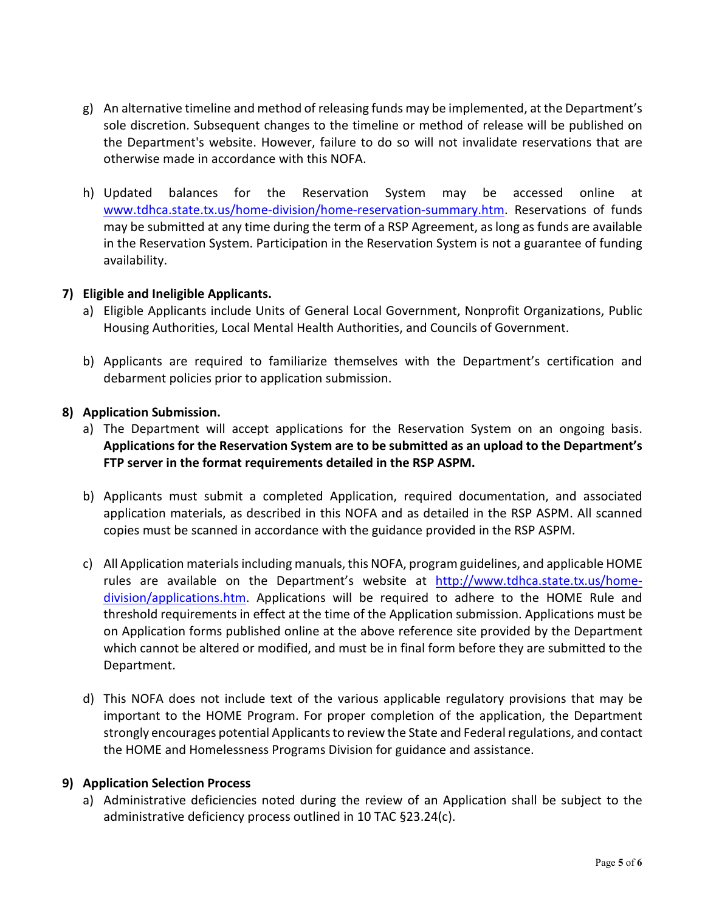- g) An alternative timeline and method of releasing funds may be implemented, at the Department's sole discretion. Subsequent changes to the timeline or method of release will be published on the Department's website. However, failure to do so will not invalidate reservations that are otherwise made in accordance with this NOFA.
- h) Updated balances for the Reservation System may be accessed online at [www.tdhca.state.tx.us/home-division/home-reservation-summary.htm.](http://www.tdhca.state.tx.us/home-division/home-reservation-summary.htm) Reservations of funds may be submitted at any time during the term of a RSP Agreement, as long as funds are available in the Reservation System. Participation in the Reservation System is not a guarantee of funding availability.

### **7) Eligible and Ineligible Applicants.**

- a) Eligible Applicants include Units of General Local Government, Nonprofit Organizations, Public Housing Authorities, Local Mental Health Authorities, and Councils of Government.
- b) Applicants are required to familiarize themselves with the Department's certification and debarment policies prior to application submission.

### **8) Application Submission.**

- a) The Department will accept applications for the Reservation System on an ongoing basis. **Applications for the Reservation System are to be submitted as an upload to the Department's FTP server in the format requirements detailed in the RSP ASPM.**
- b) Applicants must submit a completed Application, required documentation, and associated application materials, as described in this NOFA and as detailed in the RSP ASPM. All scanned copies must be scanned in accordance with the guidance provided in the RSP ASPM.
- c) All Application materials including manuals, this NOFA, program guidelines, and applicable HOME rules are available on the Department's website at [http://www.tdhca.state.tx.us/home](http://www.tdhca.state.tx.us/home-division/applications.htm)[division/applications.htm.](http://www.tdhca.state.tx.us/home-division/applications.htm) Applications will be required to adhere to the HOME Rule and threshold requirements in effect at the time of the Application submission. Applications must be on Application forms published online at the above reference site provided by the Department which cannot be altered or modified, and must be in final form before they are submitted to the Department.
- d) This NOFA does not include text of the various applicable regulatory provisions that may be important to the HOME Program. For proper completion of the application, the Department strongly encourages potential Applicants to review the State and Federal regulations, and contact the HOME and Homelessness Programs Division for guidance and assistance.

#### **9) Application Selection Process**

a) Administrative deficiencies noted during the review of an Application shall be subject to the administrative deficiency process outlined in 10 TAC §23.24(c).